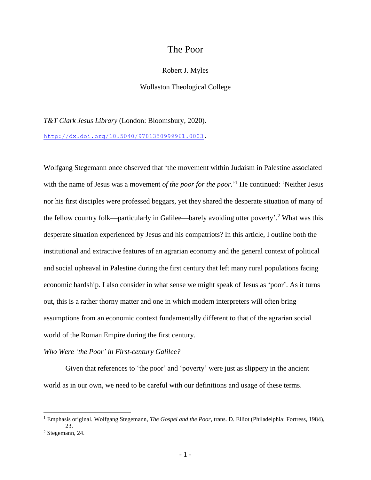# The Poor

### Robert J. Myles

## Wollaston Theological College

*T&T Clark Jesus Library* (London: Bloomsbury, 2020). [http://dx.doi.org/10.5040/9781350999961.0003.](http://dx.doi.org/10.5040/9781350999961.0003)

Wolfgang Stegemann once observed that 'the movement within Judaism in Palestine associated with the name of Jesus was a movement *of the poor for the poor*.<sup>'1</sup> He continued: 'Neither Jesus nor his first disciples were professed beggars, yet they shared the desperate situation of many of the fellow country folk—particularly in Galilee—barely avoiding utter poverty'.<sup>2</sup> What was this desperate situation experienced by Jesus and his compatriots? In this article, I outline both the institutional and extractive features of an agrarian economy and the general context of political and social upheaval in Palestine during the first century that left many rural populations facing economic hardship. I also consider in what sense we might speak of Jesus as 'poor'. As it turns out, this is a rather thorny matter and one in which modern interpreters will often bring assumptions from an economic context fundamentally different to that of the agrarian social world of the Roman Empire during the first century.

### *Who Were 'the Poor' in First-century Galilee?*

Given that references to 'the poor' and 'poverty' were just as slippery in the ancient world as in our own, we need to be careful with our definitions and usage of these terms.

<sup>1</sup> Emphasis original. Wolfgang Stegemann, *The Gospel and the Poor*, trans. D. Elliot (Philadelphia: Fortress, 1984), 23.

<sup>2</sup> Stegemann, 24.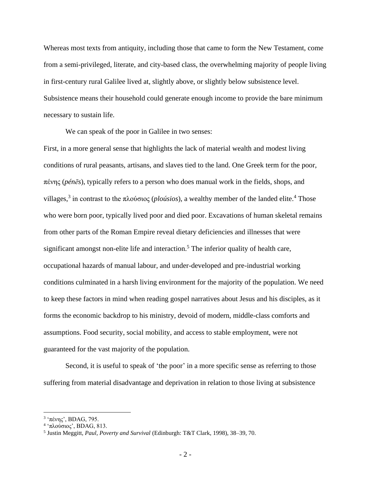Whereas most texts from antiquity, including those that came to form the New Testament, come from a semi-privileged, literate, and city-based class, the overwhelming majority of people living in first-century rural Galilee lived at, slightly above, or slightly below subsistence level. Subsistence means their household could generate enough income to provide the bare minimum necessary to sustain life.

We can speak of the poor in Galilee in two senses:

First, in a more general sense that highlights the lack of material wealth and modest living conditions of rural peasants, artisans, and slaves tied to the land. One Greek term for the poor, πένης (*pénēs*), typically refers to a person who does manual work in the fields, shops, and villages,<sup>3</sup> in contrast to the πλούσιος (*ploúsios*), a wealthy member of the landed elite.<sup>4</sup> Those who were born poor, typically lived poor and died poor. Excavations of human skeletal remains from other parts of the Roman Empire reveal dietary deficiencies and illnesses that were significant amongst non-elite life and interaction.<sup>5</sup> The inferior quality of health care, occupational hazards of manual labour, and under-developed and pre-industrial working conditions culminated in a harsh living environment for the majority of the population. We need to keep these factors in mind when reading gospel narratives about Jesus and his disciples, as it forms the economic backdrop to his ministry, devoid of modern, middle-class comforts and assumptions. Food security, social mobility, and access to stable employment, were not guaranteed for the vast majority of the population.

Second, it is useful to speak of 'the poor' in a more specific sense as referring to those suffering from material disadvantage and deprivation in relation to those living at subsistence

<sup>&</sup>lt;sup>3</sup> 'πένης', BDAG, 795.

<sup>4</sup> 'πλούσιος', BDAG, 813.

<sup>5</sup> Justin Meggitt, *Paul, Poverty and Survival* (Edinburgh: T&T Clark, 1998), 38–39, 70.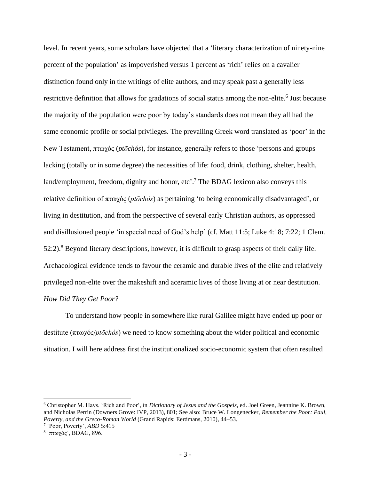level. In recent years, some scholars have objected that a 'literary characterization of ninety-nine percent of the population' as impoverished versus 1 percent as 'rich' relies on a cavalier distinction found only in the writings of elite authors, and may speak past a generally less restrictive definition that allows for gradations of social status among the non-elite.<sup>6</sup> Just because the majority of the population were poor by today's standards does not mean they all had the same economic profile or social privileges. The prevailing Greek word translated as 'poor' in the New Testament, πτωχός (*ptōchós*), for instance, generally refers to those 'persons and groups lacking (totally or in some degree) the necessities of life: food, drink, clothing, shelter, health, land/employment, freedom, dignity and honor, etc'.<sup>7</sup> The BDAG lexicon also conveys this relative definition of πτωχός (*ptōchós*) as pertaining 'to being economically disadvantaged', or living in destitution, and from the perspective of several early Christian authors, as oppressed and disillusioned people 'in special need of God's help' (cf. Matt 11:5; Luke 4:18; 7:22; 1 Clem. 52:2).<sup>8</sup> Beyond literary descriptions, however, it is difficult to grasp aspects of their daily life. Archaeological evidence tends to favour the ceramic and durable lives of the elite and relatively privileged non-elite over the makeshift and aceramic lives of those living at or near destitution. *How Did They Get Poor?*

To understand how people in somewhere like rural Galilee might have ended up poor or destitute (πτωχός/*ptōchós*) we need to know something about the wider political and economic situation. I will here address first the institutionalized socio-economic system that often resulted

<sup>6</sup> Christopher M. Hays, 'Rich and Poor', in *Dictionary of Jesus and the Gospels*, ed. Joel Green, Jeannine K. Brown, and Nicholas Perrin (Downers Grove: IVP, 2013), 801; See also: Bruce W. Longenecker, *Remember the Poor: Paul, Poverty, and the Greco-Roman World* (Grand Rapids: Eerdmans, 2010), 44–53.

<sup>7</sup> 'Poor, Poverty', *ABD* 5:415

<sup>&</sup>lt;sup>8</sup> 'πτωχός', BDAG, 896.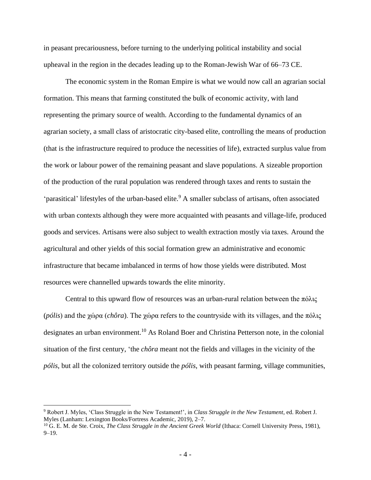in peasant precariousness, before turning to the underlying political instability and social upheaval in the region in the decades leading up to the Roman-Jewish War of 66–73 CE.

The economic system in the Roman Empire is what we would now call an agrarian social formation. This means that farming constituted the bulk of economic activity, with land representing the primary source of wealth. According to the fundamental dynamics of an agrarian society, a small class of aristocratic city-based elite, controlling the means of production (that is the infrastructure required to produce the necessities of life), extracted surplus value from the work or labour power of the remaining peasant and slave populations. A sizeable proportion of the production of the rural population was rendered through taxes and rents to sustain the 'parasitical' lifestyles of the urban-based elite.<sup>9</sup> A smaller subclass of artisans, often associated with urban contexts although they were more acquainted with peasants and village-life, produced goods and services. Artisans were also subject to wealth extraction mostly via taxes. Around the agricultural and other yields of this social formation grew an administrative and economic infrastructure that became imbalanced in terms of how those yields were distributed. Most resources were channelled upwards towards the elite minority.

Central to this upward flow of resources was an urban-rural relation between the  $\pi\delta\lambda\varsigma$ (*pólis*) and the χώρα (*chôra*). The χώρα refers to the countryside with its villages, and the πόλις designates an urban environment.<sup>10</sup> As Roland Boer and Christina Petterson note, in the colonial situation of the first century, 'the *chôra* meant not the fields and villages in the vicinity of the *pólis*, but all the colonized territory outside the *pólis*, with peasant farming, village communities,

<sup>9</sup> Robert J. Myles, 'Class Struggle in the New Testament!', in *Class Struggle in the New Testament*, ed. Robert J. Myles (Lanham: Lexington Books/Fortress Academic, 2019), 2–7.

<sup>&</sup>lt;sup>10</sup> G. E. M. de Ste. Croix, *The Class Struggle in the Ancient Greek World* (Ithaca: Cornell University Press, 1981), 9–19.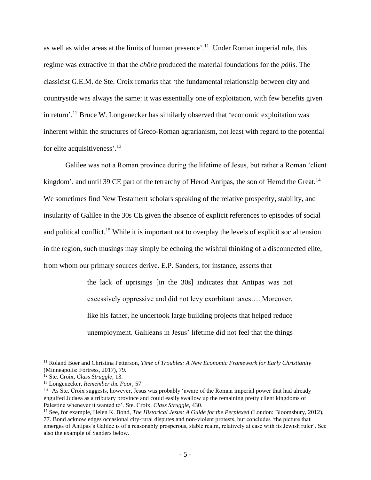as well as wider areas at the limits of human presence'.<sup>11</sup> Under Roman imperial rule, this regime was extractive in that the *chôra* produced the material foundations for the *pólis*. The classicist G.E.M. de Ste. Croix remarks that 'the fundamental relationship between city and countryside was always the same: it was essentially one of exploitation, with few benefits given in return'.<sup>12</sup> Bruce W. Longenecker has similarly observed that 'economic exploitation was inherent within the structures of Greco-Roman agrarianism, not least with regard to the potential for elite acquisitiveness'.<sup>13</sup>

Galilee was not a Roman province during the lifetime of Jesus, but rather a Roman 'client kingdom', and until 39 CE part of the tetrarchy of Herod Antipas, the son of Herod the Great.<sup>14</sup> We sometimes find New Testament scholars speaking of the relative prosperity, stability, and insularity of Galilee in the 30s CE given the absence of explicit references to episodes of social and political conflict.<sup>15</sup> While it is important not to overplay the levels of explicit social tension in the region, such musings may simply be echoing the wishful thinking of a disconnected elite, from whom our primary sources derive. E.P. Sanders, for instance, asserts that

> the lack of uprisings [in the 30s] indicates that Antipas was not excessively oppressive and did not levy exorbitant taxes…. Moreover, like his father, he undertook large building projects that helped reduce unemployment. Galileans in Jesus' lifetime did not feel that the things

<sup>11</sup> Roland Boer and Christina Petterson, *Time of Troubles: A New Economic Framework for Early Christianity* (Minneapolis: Fortress, 2017), 79.

<sup>12</sup> Ste. Croix, *Class Struggle*, 13.

<sup>13</sup> Longenecker, *Remember the Poor*, 57.

<sup>&</sup>lt;sup>14</sup> As Ste. Croix suggests, however, Jesus was probably 'aware of the Roman imperial power that had already engulfed Judaea as a tributary province and could easily swallow up the remaining pretty client kingdoms of Palestine whenever it wanted to'. Ste. Croix, *Class Struggle*, 430.

<sup>15</sup> See, for example, Helen K. Bond, *The Historical Jesus: A Guide for the Perplexed* (London: Bloomsbury, 2012), 77. Bond acknowledges occasional city-rural disputes and non-violent protests, but concludes 'the picture that emerges of Antipas's Galilee is of a reasonably prosperous, stable realm, relatively at ease with its Jewish ruler'. See also the example of Sanders below.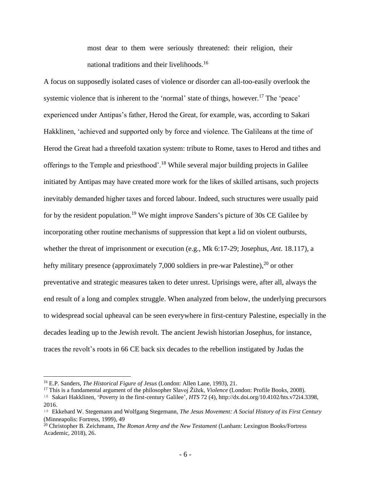most dear to them were seriously threatened: their religion, their national traditions and their livelihoods.<sup>16</sup>

A focus on supposedly isolated cases of violence or disorder can all-too-easily overlook the systemic violence that is inherent to the 'normal' state of things, however.<sup>17</sup> The 'peace' experienced under Antipas's father, Herod the Great, for example, was, according to Sakari Hakklinen, 'achieved and supported only by force and violence. The Galileans at the time of Herod the Great had a threefold taxation system: tribute to Rome, taxes to Herod and tithes and offerings to the Temple and priesthood'.<sup>18</sup> While several major building projects in Galilee initiated by Antipas may have created more work for the likes of skilled artisans, such projects inevitably demanded higher taxes and forced labour. Indeed, such structures were usually paid for by the resident population.<sup>19</sup> We might improve Sanders's picture of 30s CE Galilee by incorporating other routine mechanisms of suppression that kept a lid on violent outbursts, whether the threat of imprisonment or execution (e.g., Mk 6:17-29; Josephus, *Ant.* 18.117), a hefty military presence (approximately 7,000 soldiers in pre-war Palestine),<sup>20</sup> or other preventative and strategic measures taken to deter unrest. Uprisings were, after all, always the end result of a long and complex struggle. When analyzed from below, the underlying precursors to widespread social upheaval can be seen everywhere in first-century Palestine, especially in the decades leading up to the Jewish revolt. The ancient Jewish historian Josephus, for instance, traces the revolt's roots in 66 CE back six decades to the rebellion instigated by Judas the

<sup>16</sup> E.P. Sanders, *The Historical Figure of Jesus* (London: Allen Lane, 1993), 21.

<sup>17</sup> This is a fundamental argument of the philosopher Slavoj Žižek, *Violence* (London: Profile Books, 2008).

<sup>18</sup> Sakari Hakklinen, 'Poverty in the first-century Galilee', *HTS* 72 (4), http://dx.doi.org/10.4102/hts.v72i4.3398, 2016.

<sup>19</sup> Ekkehard W. Stegemann and Wolfgang Stegemann, *The Jesus Movement: A Social History of its First Century*  (Minneapolis: Fortress, 1999), 49

<sup>20</sup> Christopher B. Zeichmann, *The Roman Army and the New Testament* (Lanham: Lexington Books/Fortress Academic, 2018), 26.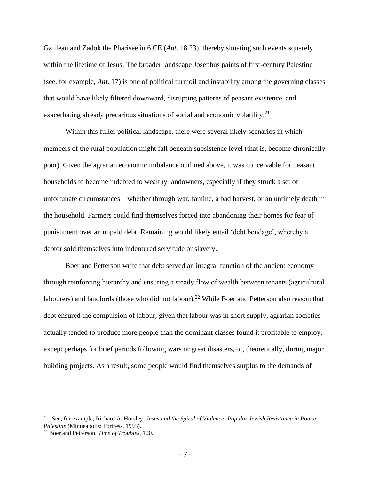Galilean and Zadok the Pharisee in 6 CE (*Ant*. 18.23), thereby situating such events squarely within the lifetime of Jesus. The broader landscape Josephus paints of first-century Palestine (see, for example, *Ant*. 17) is one of political turmoil and instability among the governing classes that would have likely filtered downward, disrupting patterns of peasant existence, and exacerbating already precarious situations of social and economic volatility.<sup>21</sup>

Within this fuller political landscape, there were several likely scenarios in which members of the rural population might fall beneath subsistence level (that is, become chronically poor). Given the agrarian economic imbalance outlined above, it was conceivable for peasant households to become indebted to wealthy landowners, especially if they struck a set of unfortunate circumstances—whether through war, famine, a bad harvest, or an untimely death in the household. Farmers could find themselves forced into abandoning their homes for fear of punishment over an unpaid debt. Remaining would likely entail 'debt bondage', whereby a debtor sold themselves into indentured servitude or slavery.

Boer and Petterson write that debt served an integral function of the ancient economy through reinforcing hierarchy and ensuring a steady flow of wealth between tenants (agricultural labourers) and landlords (those who did not labour).<sup>22</sup> While Boer and Petterson also reason that debt ensured the compulsion of labour, given that labour was in short supply, agrarian societies actually tended to produce more people than the dominant classes found it profitable to employ, except perhaps for brief periods following wars or great disasters, or, theoretically, during major building projects. As a result, some people would find themselves surplus to the demands of

<sup>21</sup> See, for example, Richard A. Horsley, *Jesus and the Spiral of Violence: Popular Jewish Resistance in Roman Palestine* (Minneapolis: Fortress, 1993).

<sup>22</sup> Boer and Petterson, *Time of Troubles*, 100.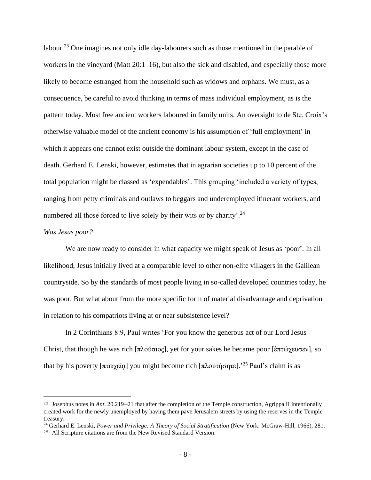labour.<sup>23</sup> One imagines not only idle day-labourers such as those mentioned in the parable of workers in the vineyard (Matt 20:1–16), but also the sick and disabled, and especially those more likely to become estranged from the household such as widows and orphans. We must, as a consequence, be careful to avoid thinking in terms of mass individual employment, as is the pattern today. Most free ancient workers laboured in family units. An oversight to de Ste. Croix's otherwise valuable model of the ancient economy is his assumption of 'full employment' in which it appears one cannot exist outside the dominant labour system, except in the case of death. Gerhard E. Lenski, however, estimates that in agrarian societies up to 10 percent of the total population might be classed as 'expendables'. This grouping 'included a variety of types, ranging from petty criminals and outlaws to beggars and underemployed itinerant workers, and numbered all those forced to live solely by their wits or by charity'.<sup>24</sup>

## *Was Jesus poor?*

We are now ready to consider in what capacity we might speak of Jesus as 'poor'. In all likelihood, Jesus initially lived at a comparable level to other non-elite villagers in the Galilean countryside. So by the standards of most people living in so-called developed countries today, he was poor. But what about from the more specific form of material disadvantage and deprivation in relation to his compatriots living at or near subsistence level?

In 2 Corinthians 8:9, Paul writes 'For you know the generous act of our Lord Jesus Christ, that though he was rich [πλούσιος], yet for your sakes he became poor [ἐπτώχευσεν], so that by his poverty [πτωχεία] you might become rich [πλουτήσητε].<sup>25</sup> Paul's claim is as

<sup>23</sup> Josephus notes in *Ant*. 20.219–21 that after the completion of the Temple construction, Agrippa II intentionally created work for the newly unemployed by having them pave Jerusalem streets by using the reserves in the Temple treasury.

<sup>24</sup> Gerhard E. Lenski, *Power and Privilege: A Theory of Social Stratification* (New York: McGraw-Hill, 1966), 281.

<sup>25</sup> All Scripture citations are from the New Revised Standard Version.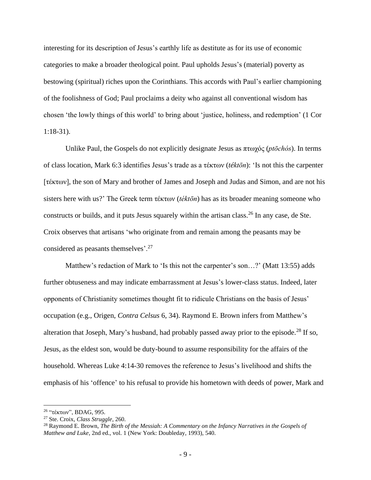interesting for its description of Jesus's earthly life as destitute as for its use of economic categories to make a broader theological point. Paul upholds Jesus's (material) poverty as bestowing (spiritual) riches upon the Corinthians. This accords with Paul's earlier championing of the foolishness of God; Paul proclaims a deity who against all conventional wisdom has chosen 'the lowly things of this world' to bring about 'justice, holiness, and redemption' (1 Cor 1:18-31).

Unlike Paul, the Gospels do not explicitly designate Jesus as πτωχός (*ptōchós*). In terms of class location, Mark 6:3 identifies Jesus's trade as a τέκτων (*téktōn*): 'Is not this the carpenter [τέκτων], the son of Mary and brother of James and Joseph and Judas and Simon, and are not his sisters here with us?' The Greek term τέκτων (*téktōn*) has as its broader meaning someone who constructs or builds, and it puts Jesus squarely within the artisan class.<sup>26</sup> In any case, de Ste. Croix observes that artisans 'who originate from and remain among the peasants may be considered as peasants themselves'.<sup>27</sup>

Matthew's redaction of Mark to 'Is this not the carpenter's son…?' (Matt 13:55) adds further obtuseness and may indicate embarrassment at Jesus's lower-class status. Indeed, later opponents of Christianity sometimes thought fit to ridicule Christians on the basis of Jesus' occupation (e.g., Origen, *Contra Celsus* 6, 34). Raymond E. Brown infers from Matthew's alteration that Joseph, Mary's husband, had probably passed away prior to the episode.<sup>28</sup> If so, Jesus, as the eldest son, would be duty-bound to assume responsibility for the affairs of the household. Whereas Luke 4:14-30 removes the reference to Jesus's livelihood and shifts the emphasis of his 'offence' to his refusal to provide his hometown with deeds of power, Mark and

<sup>26</sup> "τέκτων", BDAG, 995.

<sup>27</sup> Ste. Croix, *Class Struggle*, 260.

<sup>28</sup> Raymond E. Brown, *The Birth of the Messiah: A Commentary on the Infancy Narratives in the Gospels of Matthew and Luke*, 2nd ed., vol. 1 (New York: Doubleday, 1993), 540.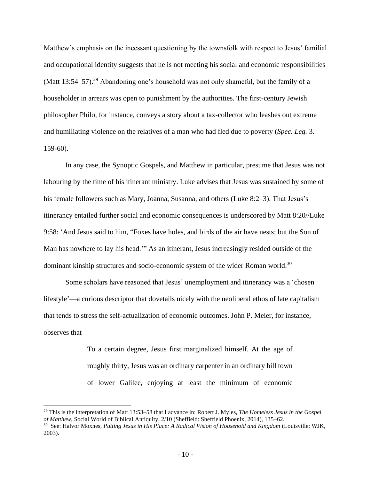Matthew's emphasis on the incessant questioning by the townsfolk with respect to Jesus' familial and occupational identity suggests that he is not meeting his social and economic responsibilities (Matt  $13:54-57$ )<sup>29</sup> Abandoning one's household was not only shameful, but the family of a householder in arrears was open to punishment by the authorities. The first-century Jewish philosopher Philo, for instance, conveys a story about a tax-collector who leashes out extreme and humiliating violence on the relatives of a man who had fled due to poverty (*Spec. Leg.* 3. 159-60).

In any case, the Synoptic Gospels, and Matthew in particular, presume that Jesus was not labouring by the time of his itinerant ministry. Luke advises that Jesus was sustained by some of his female followers such as Mary, Joanna, Susanna, and others (Luke 8:2–3). That Jesus's itinerancy entailed further social and economic consequences is underscored by Matt 8:20//Luke 9:58: 'And Jesus said to him, "Foxes have holes, and birds of the air have nests; but the Son of Man has nowhere to lay his head.'" As an itinerant, Jesus increasingly resided outside of the dominant kinship structures and socio-economic system of the wider Roman world.<sup>30</sup>

Some scholars have reasoned that Jesus' unemployment and itinerancy was a 'chosen lifestyle'—a curious descriptor that dovetails nicely with the neoliberal ethos of late capitalism that tends to stress the self-actualization of economic outcomes. John P. Meier, for instance, observes that

> To a certain degree, Jesus first marginalized himself. At the age of roughly thirty, Jesus was an ordinary carpenter in an ordinary hill town of lower Galilee, enjoying at least the minimum of economic

<sup>29</sup> This is the interpretation of Matt 13:53–58 that I advance in: Robert J. Myles, *The Homeless Jesus in the Gospel of Matthew*, Social World of Biblical Antiquity, 2/10 (Sheffield: Sheffield Phoenix, 2014), 135–62.

<sup>30</sup> See: Halvor Moxnes, *Putting Jesus in His Place: A Radical Vision of Household and Kingdom* (Louisville: WJK, 2003).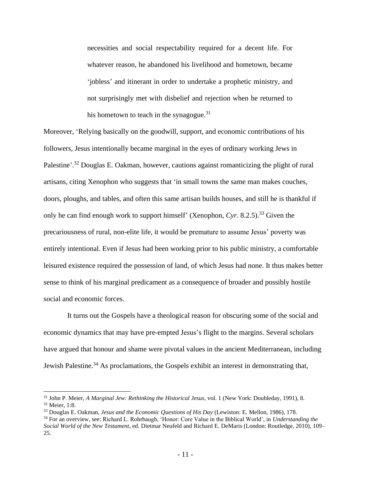necessities and social respectability required for a decent life. For whatever reason, he abandoned his livelihood and hometown, became 'jobless' and itinerant in order to undertake a prophetic ministry, and not surprisingly met with disbelief and rejection when he returned to his hometown to teach in the synagogue. $31$ 

Moreover, 'Relying basically on the goodwill, support, and economic contributions of his followers, Jesus intentionally became marginal in the eyes of ordinary working Jews in Palestine'.<sup>32</sup> Douglas E. Oakman, however, cautions against romanticizing the plight of rural artisans, citing Xenophon who suggests that 'in small towns the same man makes couches, doors, ploughs, and tables, and often this same artisan builds houses, and still he is thankful if only he can find enough work to support himself' (Xenophon,  $Cyr$ , 8.2.5).<sup>33</sup> Given the precariousness of rural, non-elite life, it would be premature to assume Jesus' poverty was entirely intentional. Even if Jesus had been working prior to his public ministry, a comfortable leisured existence required the possession of land, of which Jesus had none. It thus makes better sense to think of his marginal predicament as a consequence of broader and possibly hostile social and economic forces.

It turns out the Gospels have a theological reason for obscuring some of the social and economic dynamics that may have pre-empted Jesus's flight to the margins. Several scholars have argued that honour and shame were pivotal values in the ancient Mediterranean, including Jewish Palestine.<sup>34</sup> As proclamations, the Gospels exhibit an interest in demonstrating that,

<sup>31</sup> John P. Meier, *A Marginal Jew: Rethinking the Historical Jesus*, vol. 1 (New York: Doubleday, 1991), 8. <sup>32</sup> Meier, 1:8.

<sup>33</sup> Douglas E. Oakman, *Jesus and the Economic Questions of His Day* (Lewiston: E. Mellon, 1986), 178.

<sup>34</sup> For an overview, see: Richard L. Rohrbaugh, 'Honor: Core Value in the Biblical World', in *Understanding the Social World of the New Testament*, ed. Dietmar Neufeld and Richard E. DeMaris (London: Routledge, 2010), 109– 25.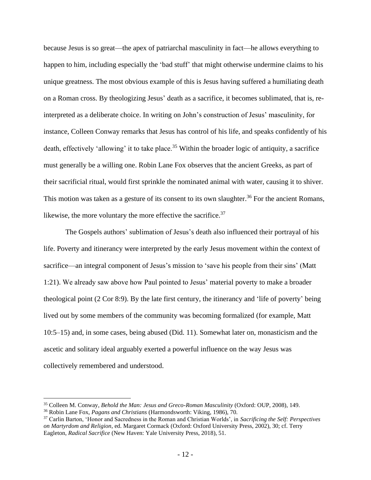because Jesus is so great—the apex of patriarchal masculinity in fact—he allows everything to happen to him, including especially the 'bad stuff' that might otherwise undermine claims to his unique greatness. The most obvious example of this is Jesus having suffered a humiliating death on a Roman cross. By theologizing Jesus' death as a sacrifice, it becomes sublimated, that is, reinterpreted as a deliberate choice. In writing on John's construction of Jesus' masculinity, for instance, Colleen Conway remarks that Jesus has control of his life, and speaks confidently of his death, effectively 'allowing' it to take place.<sup>35</sup> Within the broader logic of antiquity, a sacrifice must generally be a willing one. Robin Lane Fox observes that the ancient Greeks, as part of their sacrificial ritual, would first sprinkle the nominated animal with water, causing it to shiver. This motion was taken as a gesture of its consent to its own slaughter.<sup>36</sup> For the ancient Romans, likewise, the more voluntary the more effective the sacrifice. $37$ 

The Gospels authors' sublimation of Jesus's death also influenced their portrayal of his life. Poverty and itinerancy were interpreted by the early Jesus movement within the context of sacrifice—an integral component of Jesus's mission to 'save his people from their sins' (Matt 1:21). We already saw above how Paul pointed to Jesus' material poverty to make a broader theological point (2 Cor 8:9). By the late first century, the itinerancy and 'life of poverty' being lived out by some members of the community was becoming formalized (for example, Matt 10:5–15) and, in some cases, being abused (Did. 11). Somewhat later on, monasticism and the ascetic and solitary ideal arguably exerted a powerful influence on the way Jesus was collectively remembered and understood.

<sup>35</sup> Colleen M. Conway, *Behold the Man: Jesus and Greco-Roman Masculinity* (Oxford: OUP, 2008), 149.

<sup>36</sup> Robin Lane Fox, *Pagans and Christians* (Harmondsworth: Viking, 1986), 70.

<sup>37</sup> Carlin Barton, 'Honor and Sacredness in the Roman and Christian Worlds', in *Sacrificing the Self: Perspectives on Martyrdom and Religion*, ed. Margaret Cormack (Oxford: Oxford University Press, 2002), 30; cf. Terry Eagleton, *Radical Sacrifice* (New Haven: Yale University Press, 2018), 51.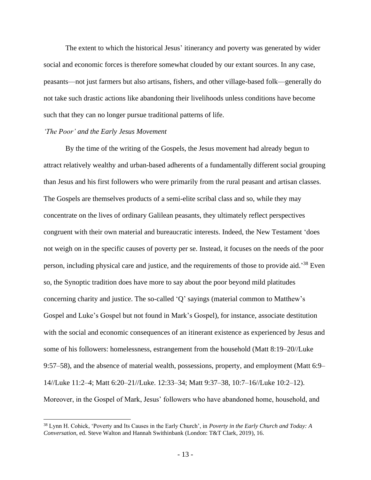The extent to which the historical Jesus' itinerancy and poverty was generated by wider social and economic forces is therefore somewhat clouded by our extant sources. In any case, peasants—not just farmers but also artisans, fishers, and other village-based folk—generally do not take such drastic actions like abandoning their livelihoods unless conditions have become such that they can no longer pursue traditional patterns of life.

#### *'The Poor' and the Early Jesus Movement*

By the time of the writing of the Gospels, the Jesus movement had already begun to attract relatively wealthy and urban-based adherents of a fundamentally different social grouping than Jesus and his first followers who were primarily from the rural peasant and artisan classes. The Gospels are themselves products of a semi-elite scribal class and so, while they may concentrate on the lives of ordinary Galilean peasants, they ultimately reflect perspectives congruent with their own material and bureaucratic interests. Indeed, the New Testament 'does not weigh on in the specific causes of poverty per se. Instead, it focuses on the needs of the poor person, including physical care and justice, and the requirements of those to provide aid.<sup>38</sup> Even so, the Synoptic tradition does have more to say about the poor beyond mild platitudes concerning charity and justice. The so-called 'Q' sayings (material common to Matthew's Gospel and Luke's Gospel but not found in Mark's Gospel), for instance, associate destitution with the social and economic consequences of an itinerant existence as experienced by Jesus and some of his followers: homelessness, estrangement from the household (Matt 8:19–20//Luke 9:57–58), and the absence of material wealth, possessions, property, and employment (Matt 6:9– 14//Luke 11:2–4; Matt 6:20–21//Luke. 12:33–34; Matt 9:37–38, 10:7–16//Luke 10:2–12). Moreover, in the Gospel of Mark, Jesus' followers who have abandoned home, household, and

<sup>38</sup> Lynn H. Cohick, 'Poverty and Its Causes in the Early Church', in *Poverty in the Early Church and Today: A Conversation*, ed. Steve Walton and Hannah Swithinbank (London: T&T Clark, 2019), 16.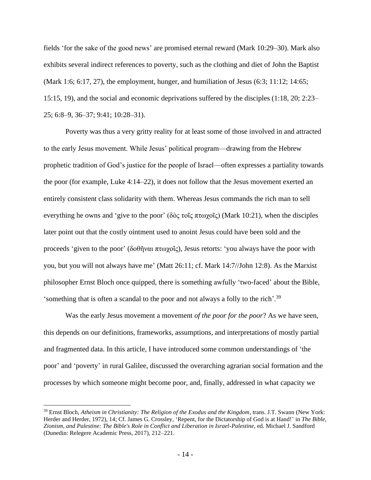fields 'for the sake of the good news' are promised eternal reward (Mark 10:29–30). Mark also exhibits several indirect references to poverty, such as the clothing and diet of John the Baptist (Mark 1:6; 6:17, 27), the employment, hunger, and humiliation of Jesus (6:3; 11:12; 14:65; 15:15, 19), and the social and economic deprivations suffered by the disciples (1:18, 20; 2:23– 25; 6:8–9, 36–37; 9:41; 10:28–31).

Poverty was thus a very gritty reality for at least some of those involved in and attracted to the early Jesus movement. While Jesus' political program—drawing from the Hebrew prophetic tradition of God's justice for the people of Israel—often expresses a partiality towards the poor (for example, Luke 4:14–22), it does not follow that the Jesus movement exerted an entirely consistent class solidarity with them. Whereas Jesus commands the rich man to sell everything he owns and 'give to the poor' (δὸς τοῖς πτωχοῖς) (Mark 10:21), when the disciples later point out that the costly ointment used to anoint Jesus could have been sold and the proceeds 'given to the poor' (δοθῆναι πτωχοῖς), Jesus retorts: 'you always have the poor with you, but you will not always have me' (Matt 26:11; cf. Mark 14:7//John 12:8). As the Marxist philosopher Ernst Bloch once quipped, there is something awfully 'two-faced' about the Bible, 'something that is often a scandal to the poor and not always a folly to the rich'.<sup>39</sup>

Was the early Jesus movement a movement *of the poor for the poor*? As we have seen, this depends on our definitions, frameworks, assumptions, and interpretations of mostly partial and fragmented data. In this article, I have introduced some common understandings of 'the poor' and 'poverty' in rural Galilee, discussed the overarching agrarian social formation and the processes by which someone might become poor, and, finally, addressed in what capacity we

<sup>39</sup> Ernst Bloch, *Atheism in Christianity: The Religion of the Exodus and the Kingdom*, trans. J.T. Swann (New York: Herder and Herder, 1972), 14; Cf. James G. Crossley, 'Repent, for the Dictatorship of God is at Hand!' in *The Bible, Zionism, and Palestine: The Bible's Role in Conflict and Liberation in Israel-Palestine*, ed. Michael J. Sandford (Dunedin: Relegere Academic Press, 2017), 212–221.